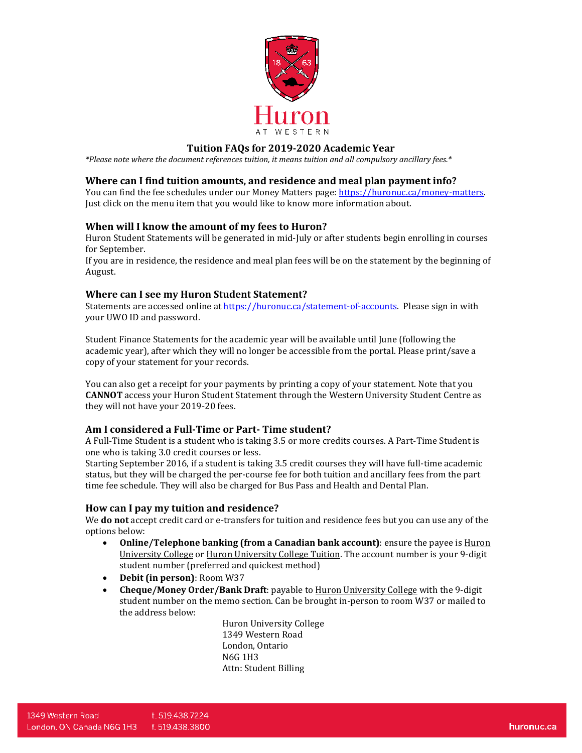

## **Tuition FAQs for 2019-2020 Academic Year**

*\*Please note where the document references tuition, it means tuition and all compulsory ancillary fees.\** 

### **Where can I find tuition amounts, and residence and meal plan payment info?**

You can find the fee schedules under our Money Matters page: [https://huronuc.ca/money-matters.](https://huronuc.ca/money-matters) Just click on the menu item that you would like to know more information about.

### **When will I know the amount of my fees to Huron?**

Huron Student Statements will be generated in mid-July or after students begin enrolling in courses for September.

If you are in residence, the residence and meal plan fees will be on the statement by the beginning of August.

### **Where can I see my Huron Student Statement?**

Statements are accessed online a[t https://huronuc.ca/statement-of-accounts.](https://huronuc.ca/statement-of-accounts) Please sign in with your UWO ID and password.

Student Finance Statements for the academic year will be available until June (following the academic year), after which they will no longer be accessible from the portal. Please print/save a copy of your statement for your records.

You can also get a receipt for your payments by printing a copy of your statement. Note that you **CANNOT** access your Huron Student Statement through the Western University Student Centre as they will not have your 2019-20 fees.

### **Am I considered a Full-Time or Part- Time student?**

A Full-Time Student is a student who is taking 3.5 or more credits courses. A Part-Time Student is one who is taking 3.0 credit courses or less.

Starting September 2016, if a student is taking 3.5 credit courses they will have full-time academic status, but they will be charged the per-course fee for both tuition and ancillary fees from the part time fee schedule. They will also be charged for Bus Pass and Health and Dental Plan.

### **How can I pay my tuition and residence?**

We **do not** accept credit card or e-transfers for tuition and residence fees but you can use any of the options below:

- **Online/Telephone banking (from a Canadian bank account)**: ensure the payee is **Huron** University College or Huron University College Tuition. The account number is your 9-digit student number (preferred and quickest method)
- **Debit (in person)**: Room W37
- **Cheque/Money Order/Bank Draft**: payable to Huron University College with the 9-digit student number on the memo section. Can be brought in-person to room W37 or mailed to the address below:

Huron University College 1349 Western Road London, Ontario N6G 1H3 Attn: Student Billing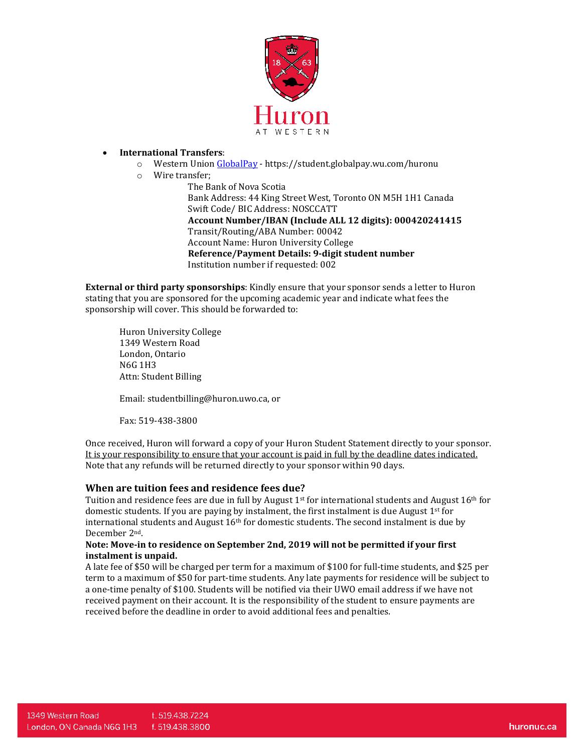

### • **International Transfers**:

- o Western Unio[n GlobalPay](https://student.globalpay.wu.com/huronu) https://student.globalpay.wu.com/huronu
- o Wire transfer;

The Bank of Nova Scotia Bank Address: 44 King Street West, Toronto ON M5H 1H1 Canada Swift Code/ BIC Address: NOSCCATT **Account Number/IBAN (Include ALL 12 digits): 000420241415**  Transit/Routing/ABA Number: 00042 Account Name: Huron University College **Reference/Payment Details: 9-digit student number**  Institution number if requested: 002

**External or third party sponsorships**: Kindly ensure that your sponsor sends a letter to Huron stating that you are sponsored for the upcoming academic year and indicate what fees the sponsorship will cover. This should be forwarded to:

Huron University College 1349 Western Road London, Ontario N6G 1H3 Attn: Student Billing

Email: studentbilling@huron.uwo.ca, or

Fax: 519-438-3800

Once received, Huron will forward a copy of your Huron Student Statement directly to your sponsor. It is your responsibility to ensure that your account is paid in full by the deadline dates indicated. Note that any refunds will be returned directly to your sponsor within 90 days.

### **When are tuition fees and residence fees due?**

Tuition and residence fees are due in full by August  $1<sup>st</sup>$  for international students and August  $16<sup>th</sup>$  for domestic students. If you are paying by instalment, the first instalment is due August 1<sup>st</sup> for international students and August  $16<sup>th</sup>$  for domestic students. The second instalment is due by December 2nd.

### **Note: Move-in to residence on September 2nd, 2019 will not be permitted if your first instalment is unpaid.**

A late fee of \$50 will be charged per term for a maximum of \$100 for full-time students, and \$25 per term to a maximum of \$50 for part-time students. Any late payments for residence will be subject to a one-time penalty of \$100. Students will be notified via their UWO email address if we have not received payment on their account. It is the responsibility of the student to ensure payments are received before the deadline in order to avoid additional fees and penalties.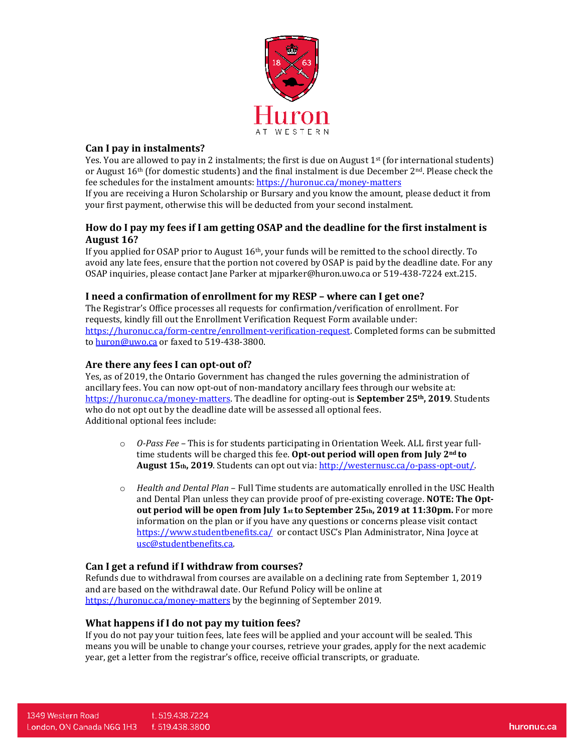

## **Can I pay in instalments?**

Yes. You are allowed to pay in 2 instalments; the first is due on August  $1<sup>st</sup>$  (for international students) or August  $16<sup>th</sup>$  (for domestic students) and the final instalment is due December  $2<sup>nd</sup>$ . Please check the fee schedules for the instalment amounts:<https://huronuc.ca/money-matters>

If you are receiving a Huron Scholarship or Bursary and you know the amount, please deduct it from your first payment, otherwise this will be deducted from your second instalment.

# **How do I pay my fees if I am getting OSAP and the deadline for the first instalment is August 16?**

If you applied for OSAP prior to August 16th, your funds will be remitted to the school directly. To avoid any late fees, ensure that the portion not covered by OSAP is paid by the deadline date. For any OSAP inquiries, please contact Jane Parker at mjparker@huron.uwo.ca or 519-438-7224 ext.215.

### **I need a confirmation of enrollment for my RESP – where can I get one?**

The Registrar's Office processes all requests for confirmation/verification of enrollment. For requests, kindly fill out the Enrollment Verification Request Form available under: [https://huronuc.ca/form-centre/enrollment-verification-request.](https://huronuc.ca/form-centre/enrollment-verification-request) Completed forms can be submitted to [huron@uwo.ca](mailto:huron@uwo.ca) or faxed to 519-438-3800.

### **Are there any fees I can opt-out of?**

Yes, as of 2019, the Ontario Government has changed the rules governing the administration of ancillary fees. You can now opt-out of non-mandatory ancillary fees through our website at: [https://huronuc.ca/money-matters.](https://huronuc.ca/money-matters) The deadline for opting-out is **September 25th, 2019**. Students who do not opt out by the deadline date will be assessed all optional fees. Additional optional fees include:

- o *O-Pass Fee –* This is for students participating in Orientation Week. ALL first year fulltime students will be charged this fee. **Opt-out period will open from July 2nd to August 15th, 2019**. Students can opt out via: [http://westernusc.ca/o-pass-opt-out/.](http://westernusc.ca/o-pass-opt-out/)
- o *Health and Dental Plan*  Full Time students are automatically enrolled in the USC Health and Dental Plan unless they can provide proof of pre-existing coverage. **NOTE: The Optout period will be open from July 1st to September 25th, 2019 at 11:30pm.** For more information on the plan or if you have any questions or concerns please visit contact <https://www.studentbenefits.ca/> or contact USC's Plan Administrator, Nina Joyce at [usc@studentbenefits.ca.](mailto:usc@studentbenefits.ca)

### **Can I get a refund if I withdraw from courses?**

Refunds due to withdrawal from courses are available on a declining rate from September 1, 2019 and are based on the withdrawal date. Our Refund Policy will be online at <https://huronuc.ca/money-matters> by the beginning of September 2019.

## **What happens if I do not pay my tuition fees?**

If you do not pay your tuition fees, late fees will be applied and your account will be sealed. This means you will be unable to change your courses, retrieve your grades, apply for the next academic year, get a letter from the registrar's office, receive official transcripts, or graduate.